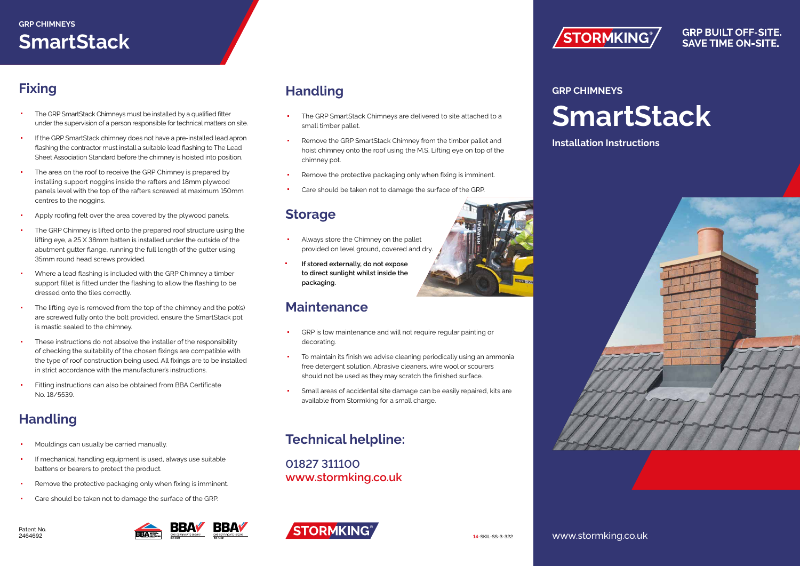## **SmartStack**

## **Fixing**

- The GRP SmartStack Chimneys must be installed by a qualified fitter under the supervision of a person responsible for technical matters on site.
- If the GRP SmartStack chimney does not have a pre-installed lead apron flashing the contractor must install a suitable lead flashing to The Lead Sheet Association Standard before the chimney is hoisted into position.
- The area on the roof to receive the GRP Chimney is prepared by installing support noggins inside the rafters and 18mm plywood panels level with the top of the rafters screwed at maximum 150mm centres to the noggins.
- Apply roofing felt over the area covered by the plywood panels.
- The GRP Chimney is lifted onto the prepared roof structure using the lifting eye, a 25 X 38mm batten is installed under the outside of the abutment gutter flange, running the full length of the gutter using 35mm round head screws provided.
- Where a lead flashing is included with the GRP Chimney a timber support fillet is fitted under the flashing to allow the flashing to be dressed onto the tiles correctly.
- The lifting eye is removed from the top of the chimney and the pot(s) are screwed fully onto the bolt provided, ensure the SmartStack pot is mastic sealed to the chimney.
- These instructions do not absolve the installer of the responsibility of checking the suitability of the chosen fixings are compatible with the type of roof construction being used. All fixings are to be installed in strict accordance with the manufacturer's instructions.
- Fitting instructions can also be obtained from BBA Certificate No. 18/5539.

### **Handling**

- Mouldings can usually be carried manually.
- If mechanical handling equipment is used, always use suitable battens or bearers to protect the product.
- Remove the protective packaging only when fixing is imminent.
- Care should be taken not to damage the surface of the GRP.





#### **Handling**

- The GRP SmartStack Chimneys are delivered to site attached to a small timber pallet.
- Remove the GRP SmartStack Chimney from the timber pallet and hoist chimney onto the roof using the M.S. Lifting eye on top of the chimney pot.
- Remove the protective packaging only when fixing is imminent.
- Care should be taken not to damage the surface of the GRP.

#### **Storage**

- Always store the Chimney on the pallet provided on level ground, covered and dry.
- **If stored externally, do not expose to direct sunlight whilst inside the packaging.**

#### **Maintenance**

- GRP is low maintenance and will not require regular painting or decorating.
- To maintain its finish we advise cleaning periodically using an ammonia free detergent solution. Abrasive cleaners, wire wool or scourers should not be used as they may scratch the finished surface.
- Small areas of accidental site damage can be easily repaired, kits are available from Stormking for a small charge.

#### **Technical helpline:**

**01827 311100 www.stormking.co.uk**









**GRP BUILT OFF-SITE. SAVE TIME ON-SITE.** 

#### **GRP CHIMNEYS**

**SmartStack**

**Installation Instructions**